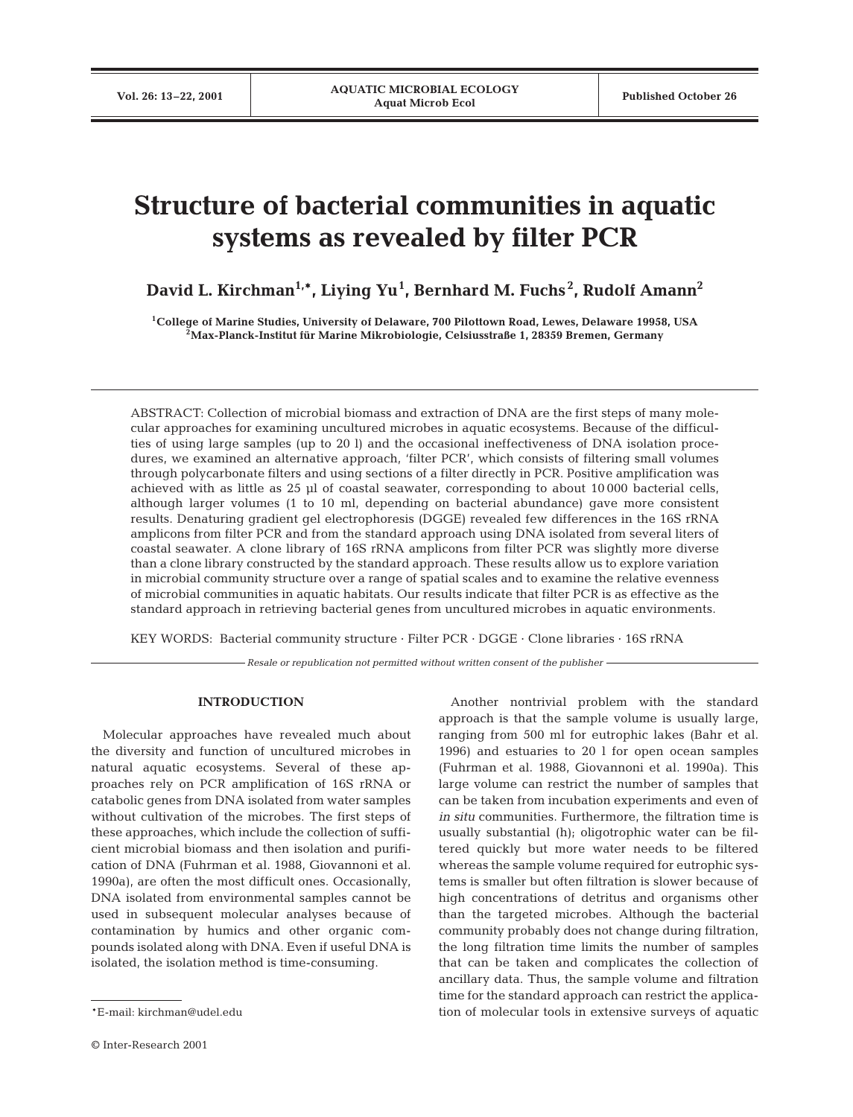# **Structure of bacterial communities in aquatic systems as revealed by filter PCR**

**David L. Kirchman1,\*, Liying Yu1 , Bernhard M. Fuchs <sup>2</sup> , Rudolf Amann2**

**1College of Marine Studies, University of Delaware, 700 Pilottown Road, Lewes, Delaware 19958, USA 2Max-Planck-Institut für Marine Mikrobiologie, Celsiusstraße 1, 28359 Bremen, Germany**

ABSTRACT: Collection of microbial biomass and extraction of DNA are the first steps of many molecular approaches for examining uncultured microbes in aquatic ecosystems. Because of the difficulties of using large samples (up to 20 l) and the occasional ineffectiveness of DNA isolation procedures, we examined an alternative approach, 'filter PCR', which consists of filtering small volumes through polycarbonate filters and using sections of a filter directly in PCR. Positive amplification was achieved with as little as 25 µl of coastal seawater, corresponding to about 10000 bacterial cells, although larger volumes (1 to 10 ml, depending on bacterial abundance) gave more consistent results. Denaturing gradient gel electrophoresis (DGGE) revealed few differences in the 16S rRNA amplicons from filter PCR and from the standard approach using DNA isolated from several liters of coastal seawater. A clone library of 16S rRNA amplicons from filter PCR was slightly more diverse than a clone library constructed by the standard approach. These results allow us to explore variation in microbial community structure over a range of spatial scales and to examine the relative evenness of microbial communities in aquatic habitats. Our results indicate that filter PCR is as effective as the standard approach in retrieving bacterial genes from uncultured microbes in aquatic environments.

KEY WORDS: Bacterial community structure · Filter PCR · DGGE · Clone libraries · 16S rRNA

*Resale or republication not permitted without written consent of the publisher*

## **INTRODUCTION**

Molecular approaches have revealed much about the diversity and function of uncultured microbes in natural aquatic ecosystems. Several of these approaches rely on PCR amplification of 16S rRNA or catabolic genes from DNA isolated from water samples without cultivation of the microbes. The first steps of these approaches, which include the collection of sufficient microbial biomass and then isolation and purification of DNA (Fuhrman et al. 1988, Giovannoni et al. 1990a), are often the most difficult ones. Occasionally, DNA isolated from environmental samples cannot be used in subsequent molecular analyses because of contamination by humics and other organic compounds isolated along with DNA. Even if useful DNA is isolated, the isolation method is time-consuming.

Another nontrivial problem with the standard approach is that the sample volume is usually large, ranging from 500 ml for eutrophic lakes (Bahr et al. 1996) and estuaries to 20 l for open ocean samples (Fuhrman et al. 1988, Giovannoni et al. 1990a). This large volume can restrict the number of samples that can be taken from incubation experiments and even of *in situ* communities. Furthermore, the filtration time is usually substantial (h); oligotrophic water can be filtered quickly but more water needs to be filtered whereas the sample volume required for eutrophic systems is smaller but often filtration is slower because of high concentrations of detritus and organisms other than the targeted microbes. Although the bacterial community probably does not change during filtration, the long filtration time limits the number of samples that can be taken and complicates the collection of ancillary data. Thus, the sample volume and filtration time for the standard approach can restrict the application of molecular tools in extensive surveys of aquatic

<sup>\*</sup>E-mail: kirchman@udel.edu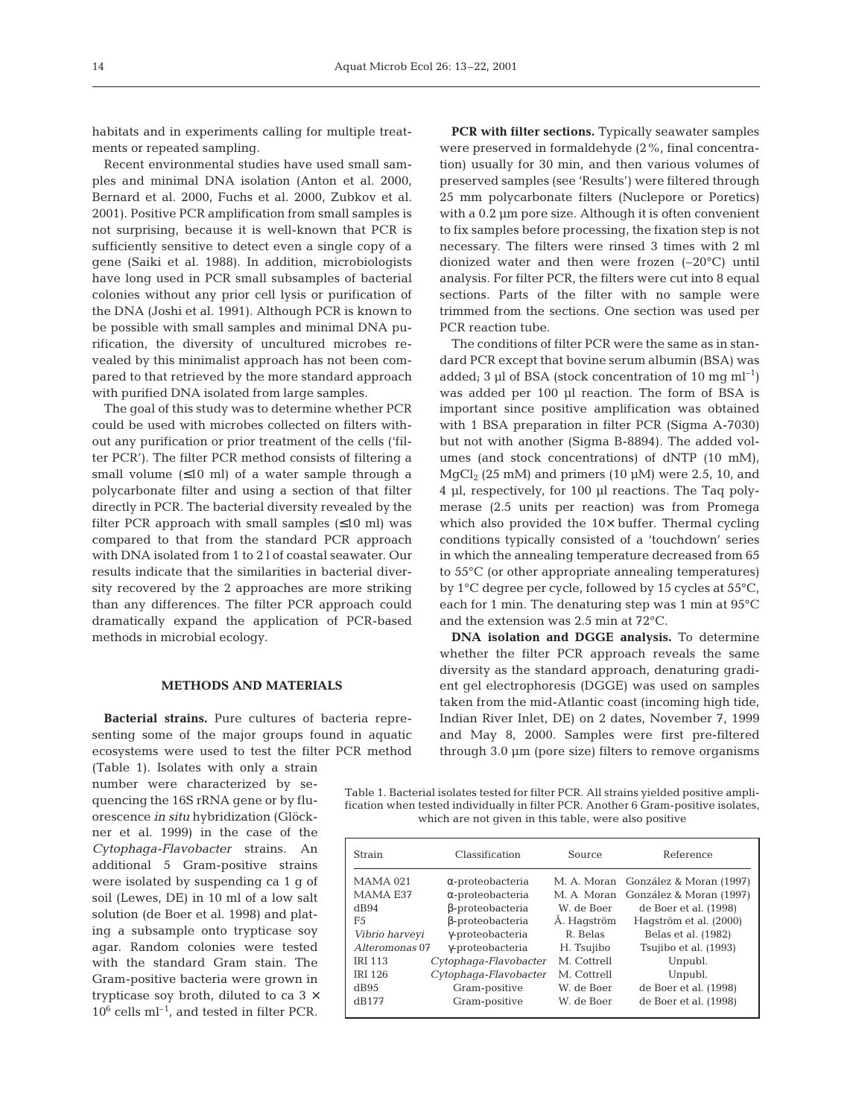habitats and in experiments calling for multiple treatments or repeated sampling.

Recent environmental studies have used small samples and minimal DNA isolation (Anton et al. 2000, Bernard et al. 2000, Fuchs et al. 2000, Zubkov et al. 2001). Positive PCR amplification from small samples is not surprising, because it is well-known that PCR is sufficiently sensitive to detect even a single copy of a gene (Saiki et al. 1988). In addition, microbiologists have long used in PCR small subsamples of bacterial colonies without any prior cell lysis or purification of the DNA (Joshi et al. 1991). Although PCR is known to be possible with small samples and minimal DNA purification, the diversity of uncultured microbes revealed by this minimalist approach has not been compared to that retrieved by the more standard approach with purified DNA isolated from large samples.

The goal of this study was to determine whether PCR could be used with microbes collected on filters without any purification or prior treatment of the cells ('filter PCR'). The filter PCR method consists of filtering a small volume  $(\leq 10 \text{ ml})$  of a water sample through a polycarbonate filter and using a section of that filter directly in PCR. The bacterial diversity revealed by the filter PCR approach with small samples  $(\leq 10 \text{ ml})$  was compared to that from the standard PCR approach with DNA isolated from 1 to 2 l of coastal seawater. Our results indicate that the similarities in bacterial diversity recovered by the 2 approaches are more striking than any differences. The filter PCR approach could dramatically expand the application of PCR-based methods in microbial ecology.

## **METHODS AND MATERIALS**

**Bacterial strains.** Pure cultures of bacteria representing some of the major groups found in aquatic ecosystems were used to test the filter PCR method

(Table 1). Isolates with only a strain number were characterized by sequencing the 16S rRNA gene or by fluorescence *in situ* hybridization (Glöckner et al. 1999) in the case of the *Cytophaga-Flavobacter* strains. An additional 5 Gram-positive strains were isolated by suspending ca 1 g of soil (Lewes, DE) in 10 ml of a low salt solution (de Boer et al. 1998) and plating a subsample onto trypticase soy agar. Random colonies were tested with the standard Gram stain. The Gram-positive bacteria were grown in trypticase soy broth, diluted to ca  $3 \times$  $10^6$  cells  $\mathrm{ml^{-1}}$  , and tested in filter PCR.

**PCR with filter sections.** Typically seawater samples were preserved in formaldehyde (2%, final concentration) usually for 30 min, and then various volumes of preserved samples (see 'Results') were filtered through 25 mm polycarbonate filters (Nuclepore or Poretics) with a  $0.2 \mu m$  pore size. Although it is often convenient to fix samples before processing, the fixation step is not necessary. The filters were rinsed 3 times with 2 ml dionized water and then were frozen (–20°C) until analysis. For filter PCR, the filters were cut into 8 equal sections. Parts of the filter with no sample were trimmed from the sections. One section was used per PCR reaction tube.

The conditions of filter PCR were the same as in standard PCR except that bovine serum albumin (BSA) was added; 3 µl of BSA (stock concentration of 10 mg  $ml^{-1}$ ) was added per 100 µl reaction. The form of BSA is important since positive amplification was obtained with 1 BSA preparation in filter PCR (Sigma A-7030) but not with another (Sigma B-8894). The added volumes (and stock concentrations) of dNTP (10 mM),  $MqCl<sub>2</sub>$  (25 mM) and primers (10 µM) were 2.5, 10, and 4 µl, respectively, for 100 µl reactions. The Taq polymerase (2.5 units per reaction) was from Promega which also provided the  $10\times$  buffer. Thermal cycling conditions typically consisted of a 'touchdown' series in which the annealing temperature decreased from 65 to 55°C (or other appropriate annealing temperatures) by 1°C degree per cycle, followed by 15 cycles at 55°C, each for 1 min. The denaturing step was 1 min at 95°C and the extension was 2.5 min at 72°C.

**DNA isolation and DGGE analysis.** To determine whether the filter PCR approach reveals the same diversity as the standard approach, denaturing gradient gel electrophoresis (DGGE) was used on samples taken from the mid-Atlantic coast (incoming high tide, Indian River Inlet, DE) on 2 dates, November 7, 1999 and May 8, 2000. Samples were first pre-filtered through 3.0 µm (pore size) filters to remove organisms

Table 1. Bacterial isolates tested for filter PCR. All strains yielded positive amplification when tested individually in filter PCR. Another 6 Gram-positive isolates, which are not given in this table, were also positive

| Strain          | Classification           | Source      | Reference               |
|-----------------|--------------------------|-------------|-------------------------|
| <b>MAMA 021</b> | $\alpha$ -proteobacteria | M. A. Moran | González & Moran (1997) |
| MAMA E37        | $\alpha$ -proteobacteria | M. A Moran  | González & Moran (1997) |
| dB94            | $\beta$ -proteobacteria  | W. de Boer  | de Boer et al. (1998)   |
| F <sub>5</sub>  | β-proteobacteria         | Å. Hagström | Haqström et al. (2000)  |
| Vibrio harveyi  | γ-proteobacteria         | R. Belas    | Belas et al. (1982)     |
| Alteromonas 07  | γ-proteobacteria         | H. Tsujibo  | Tsujibo et al. (1993)   |
| <b>IRI 113</b>  | Cytophaga-Flavobacter    | M. Cottrell | Unpubl.                 |
| <b>IRI 126</b>  | Cytophaga-Flavobacter    | M. Cottrell | Unpubl.                 |
| dB95            | Gram-positive            | W. de Boer  | de Boer et al. (1998)   |
| dB177           | Gram-positive            | W. de Boer  | de Boer et al. (1998)   |
|                 |                          |             |                         |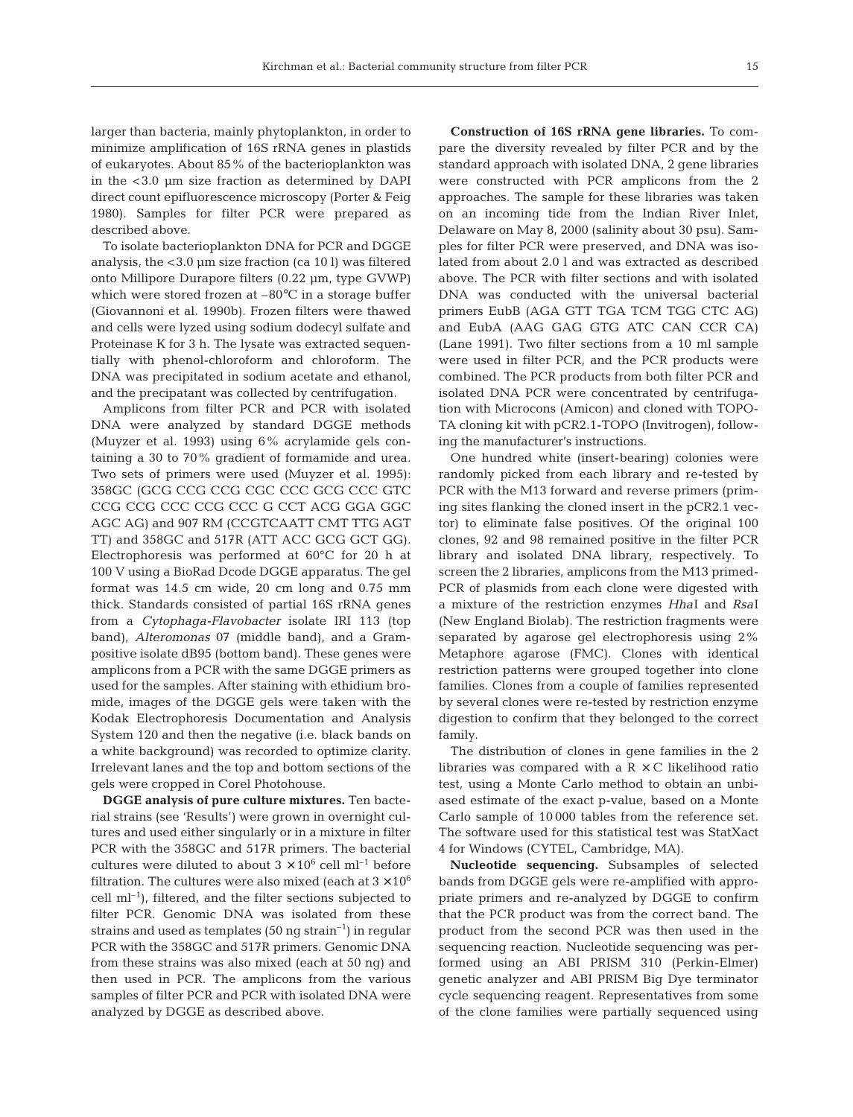larger than bacteria, mainly phytoplankton, in order to minimize amplification of 16S rRNA genes in plastids of eukaryotes. About 85% of the bacterioplankton was in the <3.0 µm size fraction as determined by DAPI direct count epifluorescence microscopy (Porter & Feig 1980). Samples for filter PCR were prepared as described above.

To isolate bacterioplankton DNA for PCR and DGGE analysis, the <3.0 µm size fraction (ca 10 l) was filtered onto Millipore Durapore filters (0.22 µm, type GVWP) which were stored frozen at  $-80^{\circ}$ C in a storage buffer (Giovannoni et al. 1990b). Frozen filters were thawed and cells were lyzed using sodium dodecyl sulfate and Proteinase K for 3 h. The lysate was extracted sequentially with phenol-chloroform and chloroform. The DNA was precipitated in sodium acetate and ethanol, and the precipatant was collected by centrifugation.

Amplicons from filter PCR and PCR with isolated DNA were analyzed by standard DGGE methods (Muyzer et al. 1993) using 6% acrylamide gels containing a 30 to 70% gradient of formamide and urea. Two sets of primers were used (Muyzer et al. 1995): 358GC (GCG CCG CCG CGC CCC GCG CCC GTC CCG CCG CCC CCG CCC G CCT ACG GGA GGC AGC AG) and 907 RM (CCGTCAATT CMT TTG AGT TT) and 358GC and 517R (ATT ACC GCG GCT GG). Electrophoresis was performed at 60°C for 20 h at 100 V using a BioRad Dcode DGGE apparatus. The gel format was 14.5 cm wide, 20 cm long and 0.75 mm thick. Standards consisted of partial 16S rRNA genes from a *Cytophaga-Flavobacter* isolate IRI 113 (top band), *Alteromonas* 07 (middle band), and a Grampositive isolate dB95 (bottom band). These genes were amplicons from a PCR with the same DGGE primers as used for the samples. After staining with ethidium bromide, images of the DGGE gels were taken with the Kodak Electrophoresis Documentation and Analysis System 120 and then the negative (i.e. black bands on a white background) was recorded to optimize clarity. Irrelevant lanes and the top and bottom sections of the gels were cropped in Corel Photohouse.

**DGGE analysis of pure culture mixtures.** Ten bacterial strains (see 'Results') were grown in overnight cultures and used either singularly or in a mixture in filter PCR with the 358GC and 517R primers. The bacterial cultures were diluted to about  $3 \times 10^6$  cell ml<sup>-1</sup> before filtration. The cultures were also mixed (each at  $3 \times 10^6$ ) cell  $ml^{-1}$ ), filtered, and the filter sections subjected to filter PCR. Genomic DNA was isolated from these strains and used as templates  $(50 \text{ ng strain}^{-1})$  in regular PCR with the 358GC and 517R primers. Genomic DNA from these strains was also mixed (each at 50 ng) and then used in PCR. The amplicons from the various samples of filter PCR and PCR with isolated DNA were analyzed by DGGE as described above.

**Construction of 16S rRNA gene libraries.** To compare the diversity revealed by filter PCR and by the standard approach with isolated DNA, 2 gene libraries were constructed with PCR amplicons from the 2 approaches. The sample for these libraries was taken on an incoming tide from the Indian River Inlet, Delaware on May 8, 2000 (salinity about 30 psu). Samples for filter PCR were preserved, and DNA was isolated from about 2.0 l and was extracted as described above. The PCR with filter sections and with isolated DNA was conducted with the universal bacterial primers EubB (AGA GTT TGA TCM TGG CTC AG) and EubA (AAG GAG GTG ATC CAN CCR CA) (Lane 1991). Two filter sections from a 10 ml sample were used in filter PCR, and the PCR products were combined. The PCR products from both filter PCR and isolated DNA PCR were concentrated by centrifugation with Microcons (Amicon) and cloned with TOPO-TA cloning kit with pCR2.1-TOPO (Invitrogen), following the manufacturer's instructions.

One hundred white (insert-bearing) colonies were randomly picked from each library and re-tested by PCR with the M13 forward and reverse primers (priming sites flanking the cloned insert in the pCR2.1 vector) to eliminate false positives. Of the original 100 clones, 92 and 98 remained positive in the filter PCR library and isolated DNA library, respectively. To screen the 2 libraries, amplicons from the M13 primed-PCR of plasmids from each clone were digested with a mixture of the restriction enzymes *Hha*I and *Rsa*I (New England Biolab). The restriction fragments were separated by agarose gel electrophoresis using 2% Metaphore agarose (FMC). Clones with identical restriction patterns were grouped together into clone families. Clones from a couple of families represented by several clones were re-tested by restriction enzyme digestion to confirm that they belonged to the correct family.

The distribution of clones in gene families in the 2 libraries was compared with a  $R\times C$  likelihood ratio test, using a Monte Carlo method to obtain an unbiased estimate of the exact p-value, based on a Monte Carlo sample of 10 000 tables from the reference set. The software used for this statistical test was StatXact 4 for Windows (CYTEL, Cambridge, MA).

**Nucleotide sequencing.** Subsamples of selected bands from DGGE gels were re-amplified with appropriate primers and re-analyzed by DGGE to confirm that the PCR product was from the correct band. The product from the second PCR was then used in the sequencing reaction. Nucleotide sequencing was performed using an ABI PRISM 310 (Perkin-Elmer) genetic analyzer and ABI PRISM Big Dye terminator cycle sequencing reagent. Representatives from some of the clone families were partially sequenced using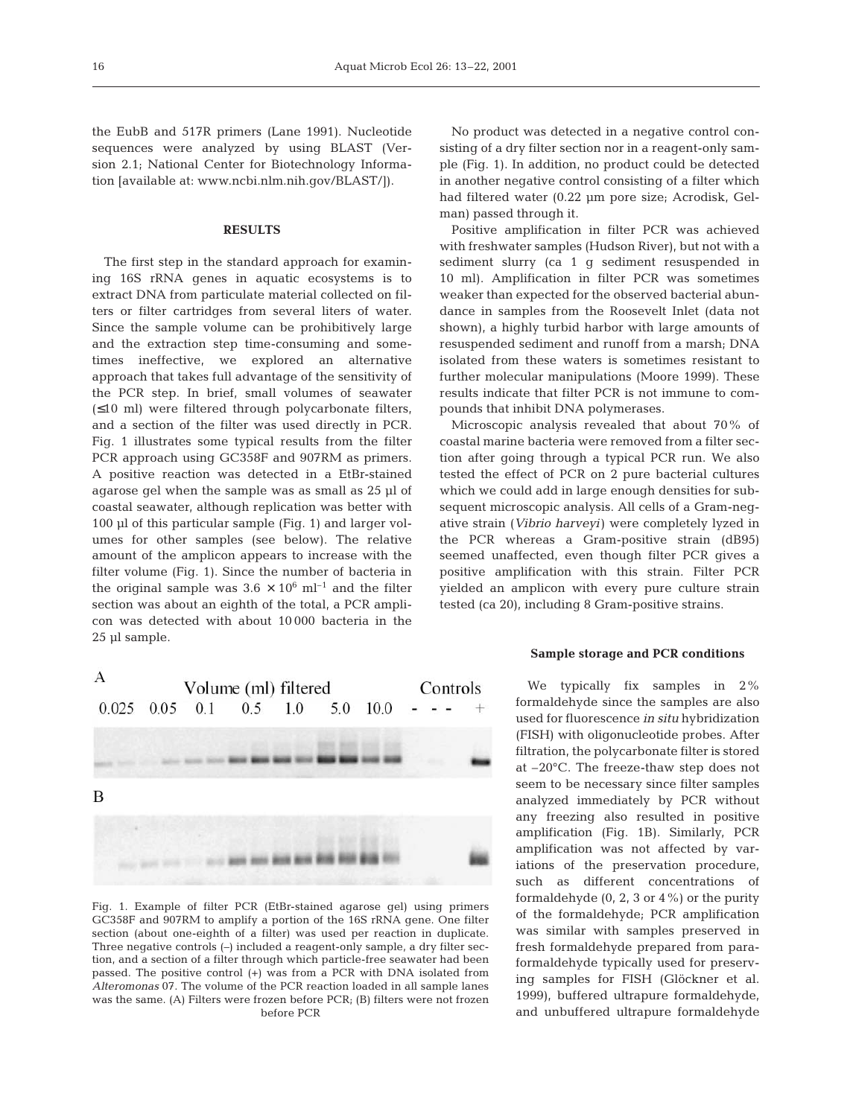the EubB and 517R primers (Lane 1991). Nucleotide sequences were analyzed by using BLAST (Version 2.1; National Center for Biotechnology Information [available at: www.ncbi.nlm.nih.gov/BLAST/]).

### **RESULTS**

The first step in the standard approach for examining 16S rRNA genes in aquatic ecosystems is to extract DNA from particulate material collected on filters or filter cartridges from several liters of water. Since the sample volume can be prohibitively large and the extraction step time-consuming and sometimes ineffective, we explored an alternative approach that takes full advantage of the sensitivity of the PCR step. In brief, small volumes of seawater (≤10 ml) were filtered through polycarbonate filters, and a section of the filter was used directly in PCR. Fig. 1 illustrates some typical results from the filter PCR approach using GC358F and 907RM as primers. A positive reaction was detected in a EtBr-stained agarose gel when the sample was as small as 25 µl of coastal seawater, although replication was better with 100 µl of this particular sample (Fig. 1) and larger volumes for other samples (see below). The relative amount of the amplicon appears to increase with the filter volume (Fig. 1). Since the number of bacteria in the original sample was  $3.6 \times 10^6$  ml<sup>-1</sup> and the filter section was about an eighth of the total, a PCR amplicon was detected with about 10 000 bacteria in the 25 µl sample.



Fig. 1. Example of filter PCR (EtBr-stained agarose gel) using primers GC358F and 907RM to amplify a portion of the 16S rRNA gene. One filter section (about one-eighth of a filter) was used per reaction in duplicate. Three negative controls (–) included a reagent-only sample, a dry filter section, and a section of a filter through which particle-free seawater had been passed. The positive control (+) was from a PCR with DNA isolated from *Alteromonas* 07. The volume of the PCR reaction loaded in all sample lanes was the same. (A) Filters were frozen before PCR; (B) filters were not frozen before PCR

No product was detected in a negative control consisting of a dry filter section nor in a reagent-only sample (Fig. 1). In addition, no product could be detected in another negative control consisting of a filter which had filtered water (0.22 µm pore size; Acrodisk, Gelman) passed through it.

Positive amplification in filter PCR was achieved with freshwater samples (Hudson River), but not with a sediment slurry (ca 1 g sediment resuspended in 10 ml). Amplification in filter PCR was sometimes weaker than expected for the observed bacterial abundance in samples from the Roosevelt Inlet (data not shown), a highly turbid harbor with large amounts of resuspended sediment and runoff from a marsh; DNA isolated from these waters is sometimes resistant to further molecular manipulations (Moore 1999). These results indicate that filter PCR is not immune to compounds that inhibit DNA polymerases.

Microscopic analysis revealed that about 70% of coastal marine bacteria were removed from a filter section after going through a typical PCR run. We also tested the effect of PCR on 2 pure bacterial cultures which we could add in large enough densities for subsequent microscopic analysis. All cells of a Gram-negative strain (*Vibrio harveyi*) were completely lyzed in the PCR whereas a Gram-positive strain (dB95) seemed unaffected, even though filter PCR gives a positive amplification with this strain. Filter PCR yielded an amplicon with every pure culture strain tested (ca 20), including 8 Gram-positive strains.

## **Sample storage and PCR conditions**

We typically fix samples in 2% formaldehyde since the samples are also used for fluorescence *in situ* hybridization (FISH) with oligonucleotide probes. After filtration, the polycarbonate filter is stored at –20°C. The freeze-thaw step does not seem to be necessary since filter samples analyzed immediately by PCR without any freezing also resulted in positive amplification (Fig. 1B). Similarly, PCR amplification was not affected by variations of the preservation procedure, such as different concentrations of formaldehyde  $(0, 2, 3 \text{ or } 4\%)$  or the purity of the formaldehyde; PCR amplification was similar with samples preserved in fresh formaldehyde prepared from paraformaldehyde typically used for preserving samples for FISH (Glöckner et al. 1999), buffered ultrapure formaldehyde, and unbuffered ultrapure formaldehyde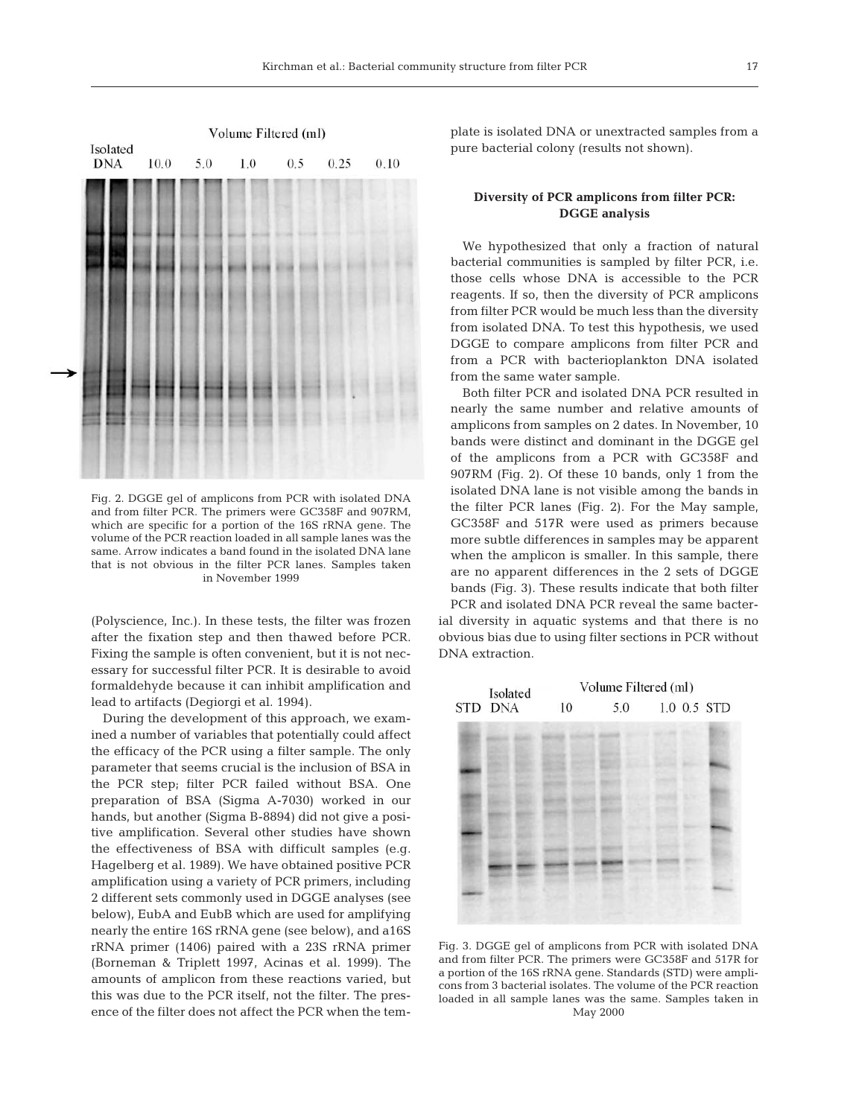

Fig. 2. DGGE gel of amplicons from PCR with isolated DNA and from filter PCR. The primers were GC358F and 907RM, which are specific for a portion of the 16S rRNA gene. The volume of the PCR reaction loaded in all sample lanes was the same. Arrow indicates a band found in the isolated DNA lane that is not obvious in the filter PCR lanes. Samples taken in November 1999

(Polyscience, Inc.). In these tests, the filter was frozen after the fixation step and then thawed before PCR. Fixing the sample is often convenient, but it is not necessary for successful filter PCR. It is desirable to avoid formaldehyde because it can inhibit amplification and lead to artifacts (Degiorgi et al. 1994).

During the development of this approach, we examined a number of variables that potentially could affect the efficacy of the PCR using a filter sample. The only parameter that seems crucial is the inclusion of BSA in the PCR step; filter PCR failed without BSA. One preparation of BSA (Sigma A-7030) worked in our hands, but another (Sigma B-8894) did not give a positive amplification. Several other studies have shown the effectiveness of BSA with difficult samples (e.g. Hagelberg et al. 1989). We have obtained positive PCR amplification using a variety of PCR primers, including 2 different sets commonly used in DGGE analyses (see below), EubA and EubB which are used for amplifying nearly the entire 16S rRNA gene (see below), and a16S rRNA primer (1406) paired with a 23S rRNA primer (Borneman & Triplett 1997, Acinas et al. 1999). The amounts of amplicon from these reactions varied, but this was due to the PCR itself, not the filter. The presence of the filter does not affect the PCR when the template is isolated DNA or unextracted samples from a pure bacterial colony (results not shown).

# **Diversity of PCR amplicons from filter PCR: DGGE analysis**

We hypothesized that only a fraction of natural bacterial communities is sampled by filter PCR, i.e. those cells whose DNA is accessible to the PCR reagents. If so, then the diversity of PCR amplicons from filter PCR would be much less than the diversity from isolated DNA. To test this hypothesis, we used DGGE to compare amplicons from filter PCR and from a PCR with bacterioplankton DNA isolated from the same water sample.

Both filter PCR and isolated DNA PCR resulted in nearly the same number and relative amounts of amplicons from samples on 2 dates. In November, 10 bands were distinct and dominant in the DGGE gel of the amplicons from a PCR with GC358F and 907RM (Fig. 2). Of these 10 bands, only 1 from the isolated DNA lane is not visible among the bands in the filter PCR lanes (Fig. 2). For the May sample, GC358F and 517R were used as primers because more subtle differences in samples may be apparent when the amplicon is smaller. In this sample, there are no apparent differences in the 2 sets of DGGE bands (Fig. 3). These results indicate that both filter PCR and isolated DNA PCR reveal the same bacter-

ial diversity in aquatic systems and that there is no obvious bias due to using filter sections in PCR without DNA extraction.



Fig. 3. DGGE gel of amplicons from PCR with isolated DNA and from filter PCR. The primers were GC358F and 517R for a portion of the 16S rRNA gene. Standards (STD) were amplicons from 3 bacterial isolates. The volume of the PCR reaction loaded in all sample lanes was the same. Samples taken in May 2000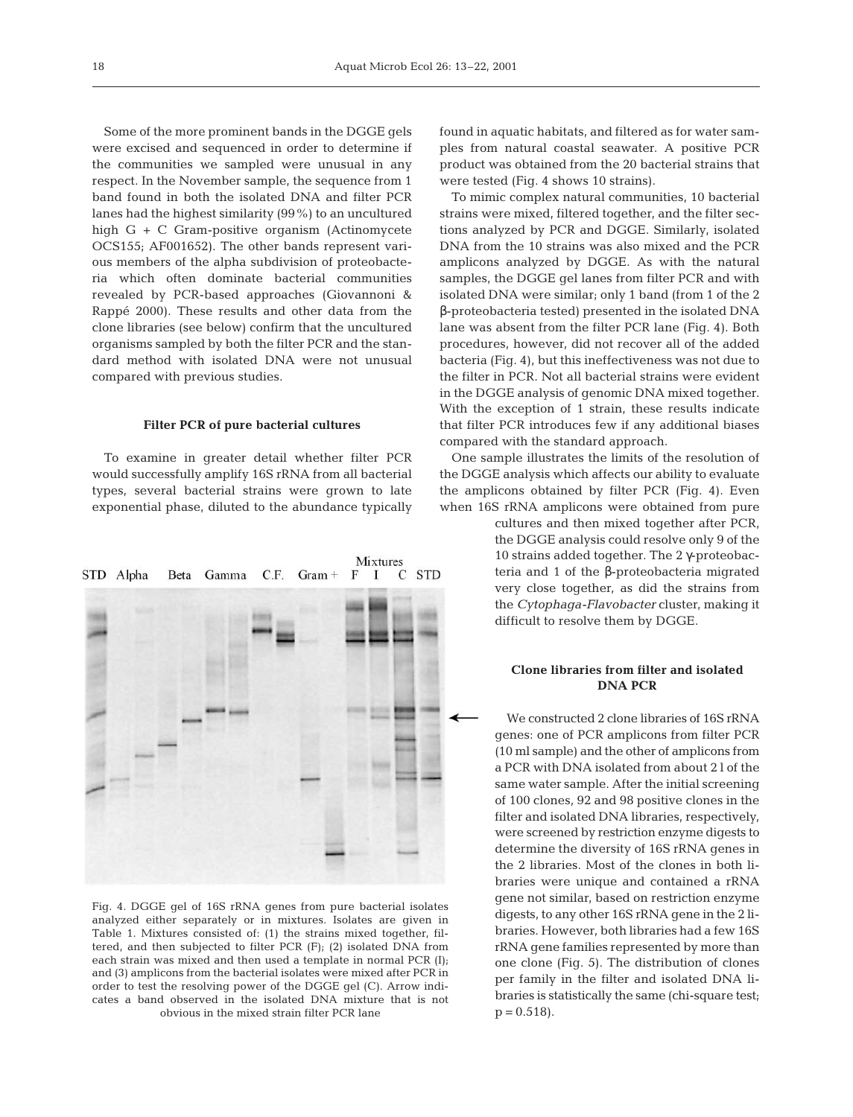Some of the more prominent bands in the DGGE gels were excised and sequenced in order to determine if the communities we sampled were unusual in any respect. In the November sample, the sequence from 1 band found in both the isolated DNA and filter PCR lanes had the highest similarity (99%) to an uncultured high G + C Gram-positive organism (Actinomycete OCS155; AF001652). The other bands represent various members of the alpha subdivision of proteobacteria which often dominate bacterial communities revealed by PCR-based approaches (Giovannoni & Rappé 2000). These results and other data from the clone libraries (see below) confirm that the uncultured organisms sampled by both the filter PCR and the standard method with isolated DNA were not unusual compared with previous studies.

### **Filter PCR of pure bacterial cultures**

To examine in greater detail whether filter PCR would successfully amplify 16S rRNA from all bacterial types, several bacterial strains were grown to late exponential phase, diluted to the abundance typically



Fig. 4. DGGE gel of 16S rRNA genes from pure bacterial isolates analyzed either separately or in mixtures. Isolates are given in Table 1. Mixtures consisted of: (1) the strains mixed together, filtered, and then subjected to filter PCR (F); (2) isolated DNA from each strain was mixed and then used a template in normal PCR (I); and (3) amplicons from the bacterial isolates were mixed after PCR in order to test the resolving power of the DGGE gel (C). Arrow indicates a band observed in the isolated DNA mixture that is not obvious in the mixed strain filter PCR lane

found in aquatic habitats, and filtered as for water samples from natural coastal seawater. A positive PCR product was obtained from the 20 bacterial strains that were tested (Fig. 4 shows 10 strains).

To mimic complex natural communities, 10 bacterial strains were mixed, filtered together, and the filter sections analyzed by PCR and DGGE. Similarly, isolated DNA from the 10 strains was also mixed and the PCR amplicons analyzed by DGGE. As with the natural samples, the DGGE gel lanes from filter PCR and with isolated DNA were similar; only 1 band (from 1 of the 2 β-proteobacteria tested) presented in the isolated DNA lane was absent from the filter PCR lane (Fig. 4). Both procedures, however, did not recover all of the added bacteria (Fig. 4), but this ineffectiveness was not due to the filter in PCR. Not all bacterial strains were evident in the DGGE analysis of genomic DNA mixed together. With the exception of 1 strain, these results indicate that filter PCR introduces few if any additional biases compared with the standard approach.

One sample illustrates the limits of the resolution of the DGGE analysis which affects our ability to evaluate the amplicons obtained by filter PCR (Fig. 4). Even when 16S rRNA amplicons were obtained from pure

> cultures and then mixed together after PCR, the DGGE analysis could resolve only 9 of the 10 strains added together. The 2 γ-proteobacteria and 1 of the β-proteobacteria migrated very close together, as did the strains from the *Cytophaga-Flavobacter* cluster, making it difficult to resolve them by DGGE.

## **Clone libraries from filter and isolated DNA PCR**

We constructed 2 clone libraries of 16S rRNA genes: one of PCR amplicons from filter PCR (10 ml sample) and the other of amplicons from a PCR with DNA isolated from about 2 l of the same water sample. After the initial screening of 100 clones, 92 and 98 positive clones in the filter and isolated DNA libraries, respectively, were screened by restriction enzyme digests to determine the diversity of 16S rRNA genes in the 2 libraries. Most of the clones in both libraries were unique and contained a rRNA gene not similar, based on restriction enzyme digests, to any other 16S rRNA gene in the 2 libraries. However, both libraries had a few 16S rRNA gene families represented by more than one clone (Fig. 5). The distribution of clones per family in the filter and isolated DNA libraries is statistically the same (chi-square test;  $p = 0.518$ .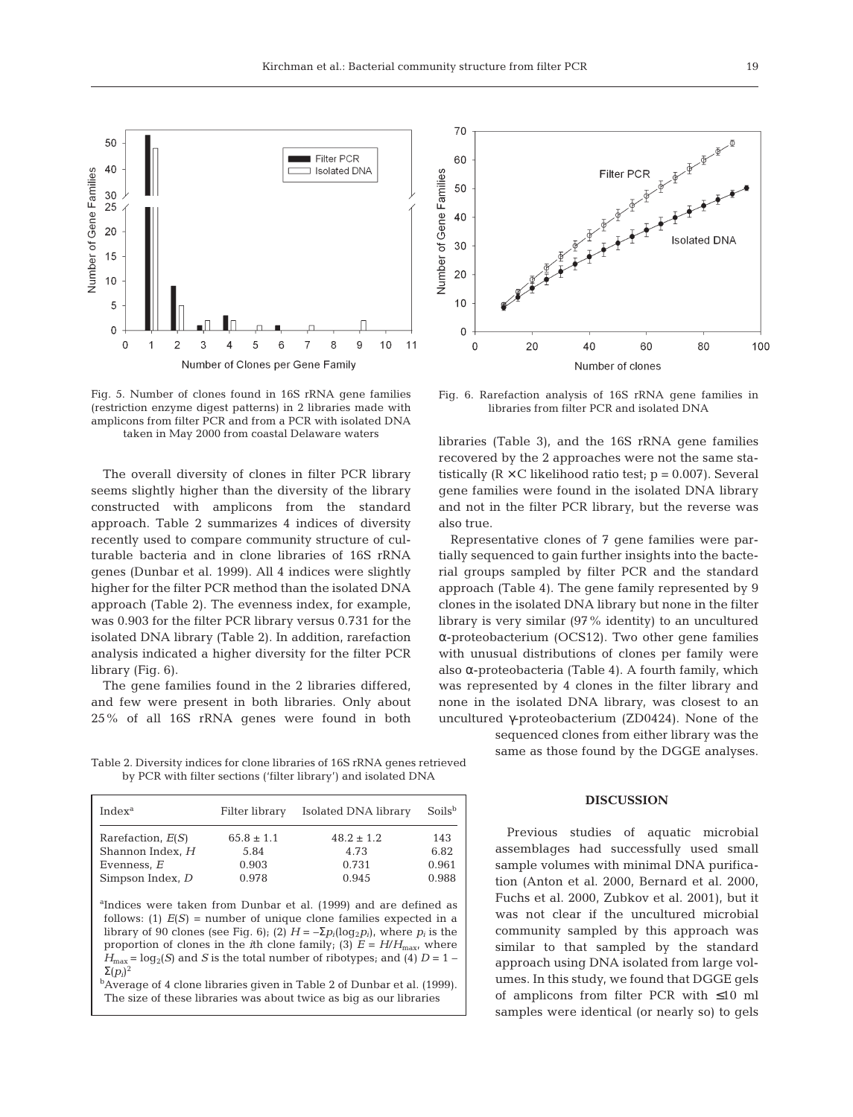

Fig. 5. Number of clones found in 16S rRNA gene families (restriction enzyme digest patterns) in 2 libraries made with amplicons from filter PCR and from a PCR with isolated DNA taken in May 2000 from coastal Delaware waters

The overall diversity of clones in filter PCR library seems slightly higher than the diversity of the library constructed with amplicons from the standard approach. Table 2 summarizes 4 indices of diversity recently used to compare community structure of culturable bacteria and in clone libraries of 16S rRNA genes (Dunbar et al. 1999). All 4 indices were slightly higher for the filter PCR method than the isolated DNA approach (Table 2). The evenness index, for example, was 0.903 for the filter PCR library versus 0.731 for the isolated DNA library (Table 2). In addition, rarefaction analysis indicated a higher diversity for the filter PCR library (Fig. 6).

The gene families found in the 2 libraries differed, and few were present in both libraries. Only about 25% of all 16S rRNA genes were found in both

Table 2. Diversity indices for clone libraries of 16S rRNA genes retrieved by PCR with filter sections ('filter library') and isolated DNA

| Index <sup>a</sup>  | Filter library | Isolated DNA library | Soils <sup>b</sup> |
|---------------------|----------------|----------------------|--------------------|
| Rarefaction, $E(S)$ | $65.8 \pm 1.1$ | $48.2 \pm 1.2$       | 143                |
| Shannon Index, H    | 5.84           | 4.73                 | 6.82               |
| Evenness, E         | 0.903          | 0.731                | 0.961              |
| Simpson Index, D    | 0.978          | 0.945                | 0.988              |

a Indices were taken from Dunbar et al. (1999) and are defined as follows: (1)  $E(S)$  = number of unique clone families expected in a library of 90 clones (see Fig. 6); (2)  $H = -\sum p_i(\log_2 p_i)$ , where  $p_i$  is the proportion of clones in the *i*th clone family; (3)  $E = H/H_{\text{max}}$ , where  $H_{\text{max}} = \log_2(S)$  and *S* is the total number of ribotypes; and (4)  $D = 1 -$ Σ(*pi*) 2

bAverage of 4 clone libraries given in Table 2 of Dunbar et al. (1999). The size of these libraries was about twice as big as our libraries



Fig. 6. Rarefaction analysis of 16S rRNA gene families in libraries from filter PCR and isolated DNA

libraries (Table 3), and the 16S rRNA gene families recovered by the 2 approaches were not the same statistically  $(R \times C)$  likelihood ratio test;  $p = 0.007$ ). Several gene families were found in the isolated DNA library and not in the filter PCR library, but the reverse was also true.

Representative clones of 7 gene families were partially sequenced to gain further insights into the bacterial groups sampled by filter PCR and the standard approach (Table 4). The gene family represented by 9 clones in the isolated DNA library but none in the filter library is very similar (97% identity) to an uncultured α-proteobacterium (OCS12). Two other gene families with unusual distributions of clones per family were also α-proteobacteria (Table 4). A fourth family, which was represented by 4 clones in the filter library and none in the isolated DNA library, was closest to an uncultured γ-proteobacterium (ZD0424). None of the

> sequenced clones from either library was the same as those found by the DGGE analyses.

## **DISCUSSION**

Previous studies of aquatic microbial assemblages had successfully used small sample volumes with minimal DNA purification (Anton et al. 2000, Bernard et al. 2000, Fuchs et al. 2000, Zubkov et al. 2001), but it was not clear if the uncultured microbial community sampled by this approach was similar to that sampled by the standard approach using DNA isolated from large volumes. In this study, we found that DGGE gels of amplicons from filter PCR with ≤10 ml samples were identical (or nearly so) to gels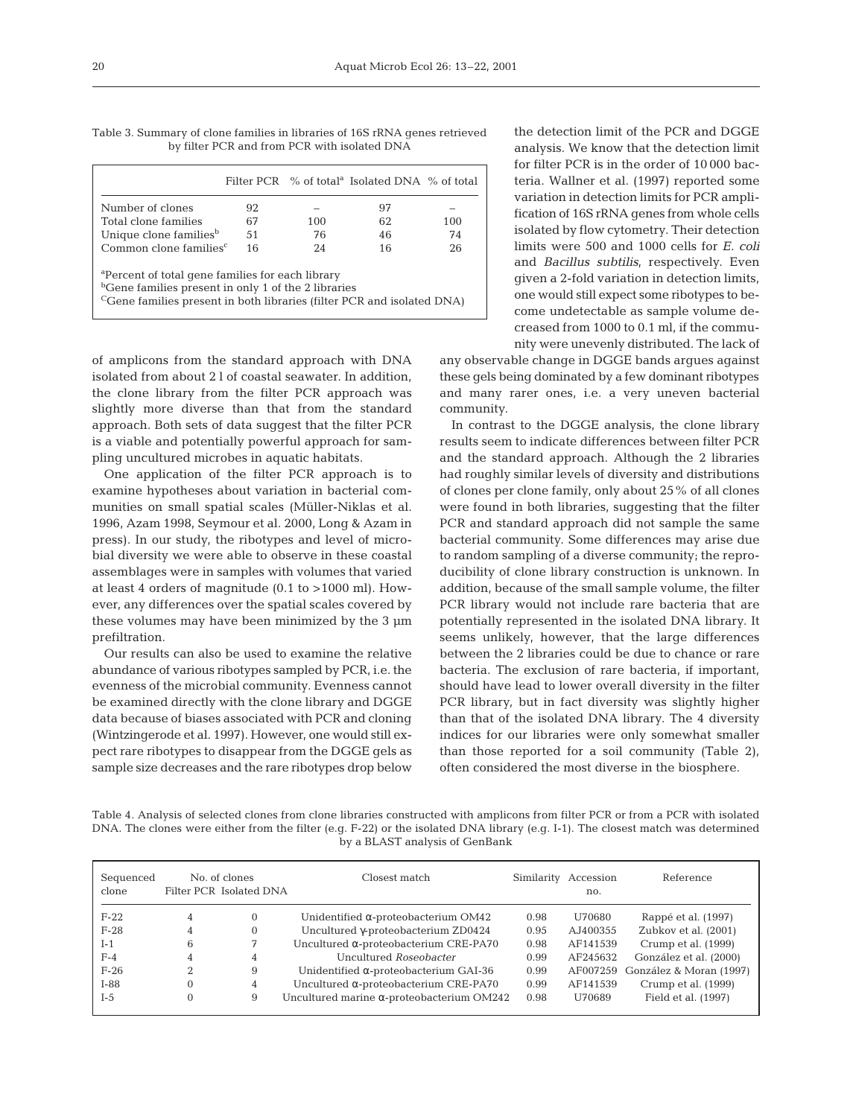Filter PCR % of total<sup>a</sup> Isolated DNA % of total Number of clones  $92 - 97 -$ <br>Total clone families  $67 - 100 - 62 - 100$ Total clone families  $67$  100 62 100<br>
Unique clone families  $67$  100 62 100 Unique clone families<sup>b</sup> 51  $\begin{array}{ccc} 76 & 46 & 74 \\ \text{Common clone families}^c & 16 & 24 & 16 \end{array}$ Common clone families $c$ a Percent of total gene families for each library

bGene families present in only 1 of the 2 libraries

CGene families present in both libraries (filter PCR and isolated DNA)

of amplicons from the standard approach with DNA isolated from about 2 l of coastal seawater. In addition, the clone library from the filter PCR approach was slightly more diverse than that from the standard approach. Both sets of data suggest that the filter PCR is a viable and potentially powerful approach for sampling uncultured microbes in aquatic habitats.

One application of the filter PCR approach is to examine hypotheses about variation in bacterial communities on small spatial scales (Müller-Niklas et al. 1996, Azam 1998, Seymour et al. 2000, Long & Azam in press). In our study, the ribotypes and level of microbial diversity we were able to observe in these coastal assemblages were in samples with volumes that varied at least 4 orders of magnitude (0.1 to >1000 ml). However, any differences over the spatial scales covered by these volumes may have been minimized by the 3 µm prefiltration.

Our results can also be used to examine the relative abundance of various ribotypes sampled by PCR, i.e. the evenness of the microbial community. Evenness cannot be examined directly with the clone library and DGGE data because of biases associated with PCR and cloning (Wintzingerode et al. 1997). However, one would still expect rare ribotypes to disappear from the DGGE gels as sample size decreases and the rare ribotypes drop below

the detection limit of the PCR and DGGE analysis. We know that the detection limit for filter PCR is in the order of 10 000 bacteria. Wallner et al. (1997) reported some variation in detection limits for PCR amplification of 16S rRNA genes from whole cells isolated by flow cytometry. Their detection limits were 500 and 1000 cells for *E. coli* and *Bacillus subtilis*, respectively. Even given a 2-fold variation in detection limits, one would still expect some ribotypes to become undetectable as sample volume decreased from 1000 to 0.1 ml, if the community were unevenly distributed. The lack of

any observable change in DGGE bands argues against these gels being dominated by a few dominant ribotypes and many rarer ones, i.e. a very uneven bacterial community.

In contrast to the DGGE analysis, the clone library results seem to indicate differences between filter PCR and the standard approach. Although the 2 libraries had roughly similar levels of diversity and distributions of clones per clone family, only about 25% of all clones were found in both libraries, suggesting that the filter PCR and standard approach did not sample the same bacterial community. Some differences may arise due to random sampling of a diverse community; the reproducibility of clone library construction is unknown. In addition, because of the small sample volume, the filter PCR library would not include rare bacteria that are potentially represented in the isolated DNA library. It seems unlikely, however, that the large differences between the 2 libraries could be due to chance or rare bacteria. The exclusion of rare bacteria, if important, should have lead to lower overall diversity in the filter PCR library, but in fact diversity was slightly higher than that of the isolated DNA library. The 4 diversity indices for our libraries were only somewhat smaller than those reported for a soil community (Table 2), often considered the most diverse in the biosphere.

Table 4. Analysis of selected clones from clone libraries constructed with amplicons from filter PCR or from a PCR with isolated DNA. The clones were either from the filter (e.g. F-22) or the isolated DNA library (e.g. I-1). The closest match was determined by a BLAST analysis of GenBank

| Sequenced<br>clone |          | No. of clones<br>Filter PCR Isolated DNA | Closest match                                     |      | Similarity Accession<br>no. | Reference               |
|--------------------|----------|------------------------------------------|---------------------------------------------------|------|-----------------------------|-------------------------|
| $F-22$             | 4        | 0                                        | Unidentified $\alpha$ -proteobacterium OM42       | 0.98 | U70680                      | Rappé et al. (1997)     |
| $F-28$             | 4        | $\Omega$                                 | Uncultured y-proteobacterium ZD0424               | 0.95 | AJ400355                    | Zubkov et al. (2001)    |
| $I-1$              | 6        |                                          | Uncultured $\alpha$ -proteobacterium CRE-PA70     | 0.98 | AF141539                    | Crump et al. (1999)     |
| $F-4$              | 4        | 4                                        | Uncultured Roseobacter                            | 0.99 | AF245632                    | González et al. (2000)  |
| $F-26$             | $\Omega$ | 9                                        | Unidentified $\alpha$ -proteobacterium GAI-36     | 0.99 | AF007259                    | González & Moran (1997) |
| $1-88$             |          | 4                                        | Uncultured $\alpha$ -proteobacterium CRE-PA70     | 0.99 | AF141539                    | Crump et al. (1999)     |
| $I-5$              | $\Omega$ | 9                                        | Uncultured marine $\alpha$ -proteobacterium OM242 | 0.98 | U70689                      | Field et al. (1997)     |

Table 3. Summary of clone families in libraries of 16S rRNA genes retrieved by filter PCR and from PCR with isolated DNA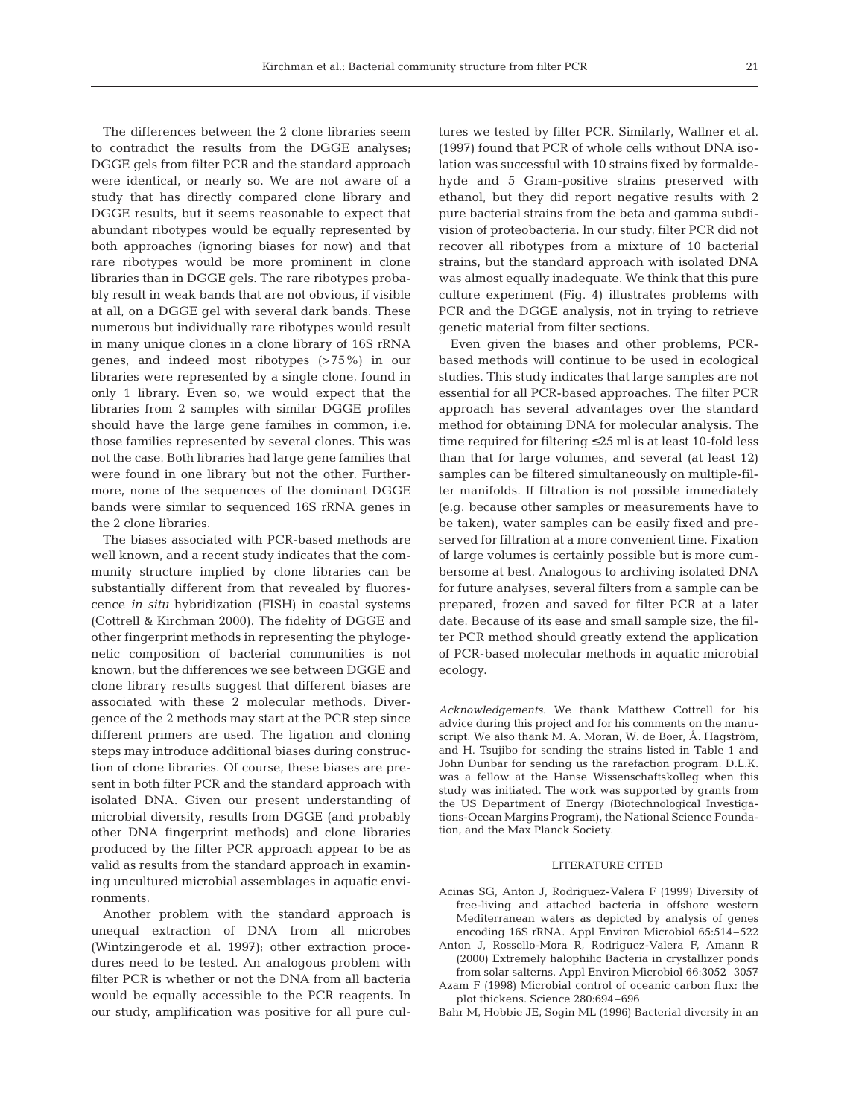The differences between the 2 clone libraries seem to contradict the results from the DGGE analyses; DGGE gels from filter PCR and the standard approach were identical, or nearly so. We are not aware of a study that has directly compared clone library and DGGE results, but it seems reasonable to expect that abundant ribotypes would be equally represented by both approaches (ignoring biases for now) and that rare ribotypes would be more prominent in clone libraries than in DGGE gels. The rare ribotypes probably result in weak bands that are not obvious, if visible at all, on a DGGE gel with several dark bands. These numerous but individually rare ribotypes would result in many unique clones in a clone library of 16S rRNA genes, and indeed most ribotypes (>75%) in our libraries were represented by a single clone, found in only 1 library. Even so, we would expect that the libraries from 2 samples with similar DGGE profiles should have the large gene families in common, i.e. those families represented by several clones. This was not the case. Both libraries had large gene families that were found in one library but not the other. Furthermore, none of the sequences of the dominant DGGE bands were similar to sequenced 16S rRNA genes in the 2 clone libraries.

The biases associated with PCR-based methods are well known, and a recent study indicates that the community structure implied by clone libraries can be substantially different from that revealed by fluorescence *in situ* hybridization (FISH) in coastal systems (Cottrell & Kirchman 2000). The fidelity of DGGE and other fingerprint methods in representing the phylogenetic composition of bacterial communities is not known, but the differences we see between DGGE and clone library results suggest that different biases are associated with these 2 molecular methods. Divergence of the 2 methods may start at the PCR step since different primers are used. The ligation and cloning steps may introduce additional biases during construction of clone libraries. Of course, these biases are present in both filter PCR and the standard approach with isolated DNA. Given our present understanding of microbial diversity, results from DGGE (and probably other DNA fingerprint methods) and clone libraries produced by the filter PCR approach appear to be as valid as results from the standard approach in examining uncultured microbial assemblages in aquatic environments.

Another problem with the standard approach is unequal extraction of DNA from all microbes (Wintzingerode et al. 1997); other extraction procedures need to be tested. An analogous problem with filter PCR is whether or not the DNA from all bacteria would be equally accessible to the PCR reagents. In our study, amplification was positive for all pure cul-

tures we tested by filter PCR. Similarly, Wallner et al. (1997) found that PCR of whole cells without DNA isolation was successful with 10 strains fixed by formaldehyde and 5 Gram-positive strains preserved with ethanol, but they did report negative results with 2 pure bacterial strains from the beta and gamma subdivision of proteobacteria. In our study, filter PCR did not recover all ribotypes from a mixture of 10 bacterial strains, but the standard approach with isolated DNA was almost equally inadequate. We think that this pure culture experiment (Fig. 4) illustrates problems with PCR and the DGGE analysis, not in trying to retrieve genetic material from filter sections.

Even given the biases and other problems, PCRbased methods will continue to be used in ecological studies. This study indicates that large samples are not essential for all PCR-based approaches. The filter PCR approach has several advantages over the standard method for obtaining DNA for molecular analysis. The time required for filtering ≤25 ml is at least 10-fold less than that for large volumes, and several (at least 12) samples can be filtered simultaneously on multiple-filter manifolds. If filtration is not possible immediately (e.g. because other samples or measurements have to be taken), water samples can be easily fixed and preserved for filtration at a more convenient time. Fixation of large volumes is certainly possible but is more cumbersome at best. Analogous to archiving isolated DNA for future analyses, several filters from a sample can be prepared, frozen and saved for filter PCR at a later date. Because of its ease and small sample size, the filter PCR method should greatly extend the application of PCR-based molecular methods in aquatic microbial ecology.

*Acknowledgements.* We thank Matthew Cottrell for his advice during this project and for his comments on the manuscript. We also thank M. A. Moran, W. de Boer, Å. Hagström, and H. Tsujibo for sending the strains listed in Table 1 and John Dunbar for sending us the rarefaction program. D.L.K. was a fellow at the Hanse Wissenschaftskolleg when this study was initiated. The work was supported by grants from the US Department of Energy (Biotechnological Investigations-Ocean Margins Program), the National Science Foundation, and the Max Planck Society.

## LITERATURE CITED

- Acinas SG, Anton J, Rodriguez-Valera F (1999) Diversity of free-living and attached bacteria in offshore western Mediterranean waters as depicted by analysis of genes encoding 16S rRNA. Appl Environ Microbiol 65:514–522
- Anton J, Rossello-Mora R, Rodriguez-Valera F, Amann R (2000) Extremely halophilic Bacteria in crystallizer ponds from solar salterns. Appl Environ Microbiol 66:3052–3057
- Azam F (1998) Microbial control of oceanic carbon flux: the plot thickens. Science 280:694–696
- Bahr M, Hobbie JE, Sogin ML (1996) Bacterial diversity in an